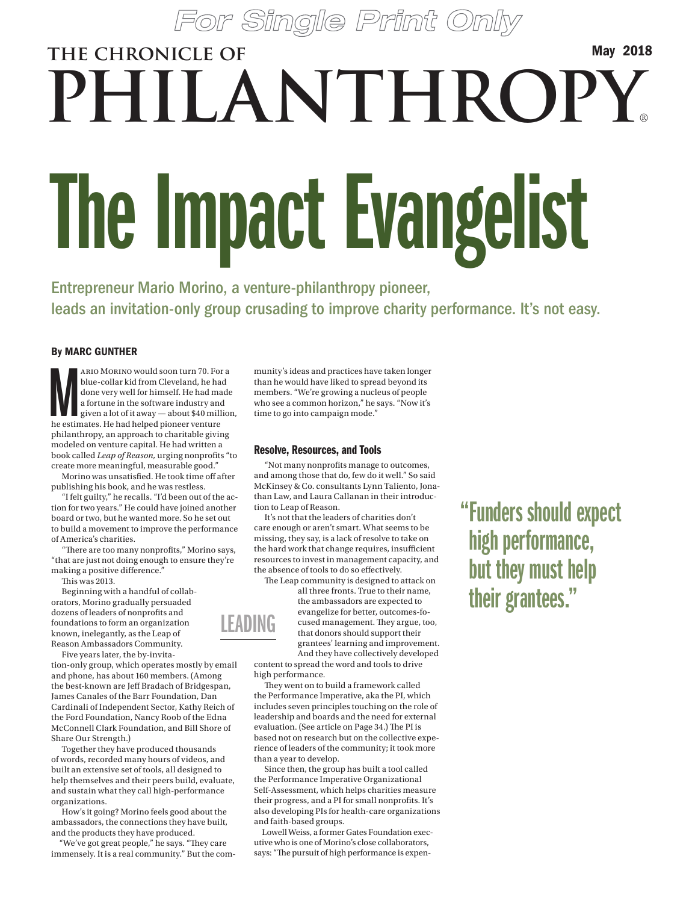# The Impact Evangelist **the chronicle of PHILANTHROPY**® May 2018

Entrepreneur Mario Morino, a venture-philanthropy pioneer, leads an invitation-only group crusading to improve charity performance. It's not easy.

#### By MARC GUNTHER

ARIO MORINO would soon turn 70. For blue-collar kid from Cleveland, he had done very well for himself. He had may a fortune in the software industry and given a lot of it away — about \$40 mill he estimates. He had helped p ario Morino would soon turn 70. For a blue-collar kid from Cleveland, he had done very well for himself. He had made a fortune in the software industry and given a lot of it away — about \$40 million, philanthropy, an approach to charitable giving modeled on venture capital. He had written a book called *Leap of Reason,* urging nonprofits "to create more meaningful, measurable good."

Morino was unsatisfied. He took time off after publishing his book, and he was restless.

"I felt guilty," he recalls. "I'd been out of the action for two years." He could have joined another board or two, but he wanted more. So he set out to build a movement to improve the performance of America's charities.

"There are too many nonprofits," Morino says, "that are just not doing enough to ensure they're making a positive difference."

This was 2013.

Beginning with a handful of collaborators, Morino gradually persuaded dozens of leaders of nonprofits and foundations to form an organization known, inelegantly, as the Leap of Reason Ambassadors Community.

Five years later, the by-invitation-only group, which operates mostly by email

and phone, has about 160 members. (Among the best-known are Jeff Bradach of Bridgespan, James Canales of the Barr Foundation, Dan Cardinali of Independent Sector, Kathy Reich of the Ford Foundation, Nancy Roob of the Edna McConnell Clark Foundation, and Bill Shore of Share Our Strength.)

Together they have produced thousands of words, recorded many hours of videos, and built an extensive set of tools, all designed to help themselves and their peers build, evaluate, and sustain what they call high-performance organizations.

How's it going? Morino feels good about the ambassadors, the connections they have built, and the products they have produced.

"We've got great people," he says. "They care immensely. It is a real community." But the community's ideas and practices have taken longer than he would have liked to spread beyond its members. "We're growing a nucleus of people who see a common horizon," he says. "Now it's time to go into campaign mode."

#### Resolve, Resources, and Tools

"Not many nonprofits manage to outcomes, and among those that do, few do it well." So said McKinsey & Co. consultants Lynn Taliento, Jonathan Law, and Laura Callanan in their introduction to Leap of Reason.

It's not that the leaders of charities don't care enough or aren't smart. What seems to be missing, they say, is a lack of resolve to take on the hard work that change requires, insufficient resources to invest in management capacity, and the absence of tools to do so effectively.

The Leap community is designed to attack on all three fronts. True to their name,

grantees' learning and improvement. LEADING

the ambassadors are expected to evangelize for better, outcomes-focused management. They argue, too, that donors should support their

And they have collectively developed content to spread the word and tools to drive high performance.

They went on to build a framework called the Performance Imperative, aka the PI, which includes seven principles touching on the role of leadership and boards and the need for external evaluation. (See article on Page 34.) The PI is based not on research but on the collective experience of leaders of the community; it took more than a year to develop.

Since then, the group has built a tool called the Performance Imperative Organizational Self-Assessment, which helps charities measure their progress, and a PI for small nonprofits. It's also developing PIs for health-care organizations and faith-based groups.

Lowell Weiss, a former Gates Foundation executive who is one of Morino's close collaborators, says: "The pursuit of high performance is expen"Funders should expect high performance, but they must help their grantees."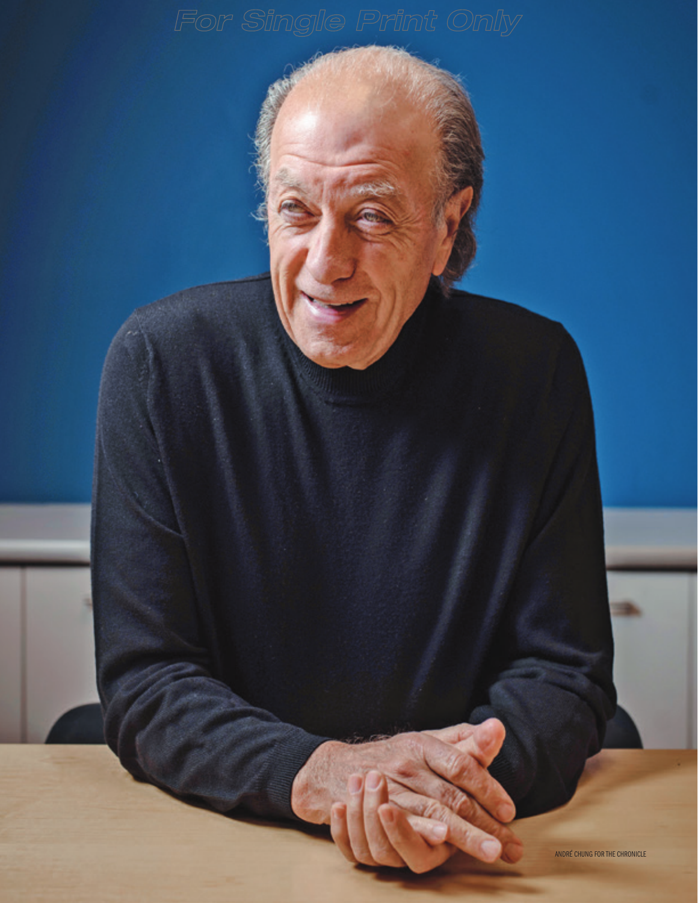ANDRÉ CHUNG FOR THE CHRONICLE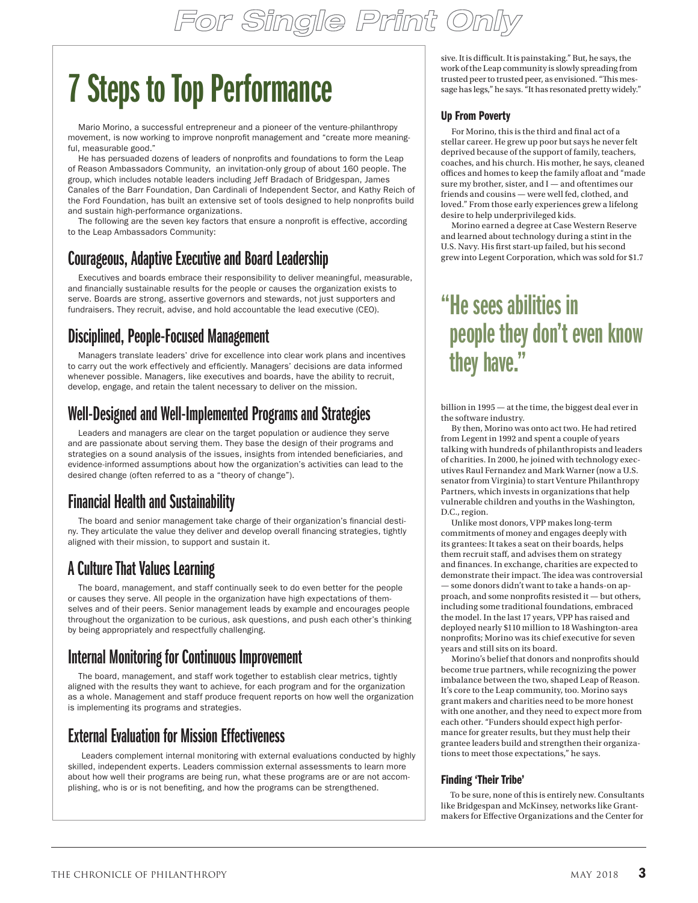# 7 Steps to Top Performance

Mario Morino, a successful entrepreneur and a pioneer of the venture-philanthropy movement, is now working to improve nonprofit management and "create more meaningful, measurable good."

He has persuaded dozens of leaders of nonprofits and foundations to form the Leap of Reason Ambassadors Community, an invitation-only group of about 160 people. The group, which includes notable leaders including Jeff Bradach of Bridgespan, James Canales of the Barr Foundation, Dan Cardinali of Independent Sector, and Kathy Reich of the Ford Foundation, has built an extensive set of tools designed to help nonprofits build and sustain high-performance organizations.

The following are the seven key factors that ensure a nonprofit is effective, according to the Leap Ambassadors Community:

## Courageous, Adaptive Executive and Board Leadership

Executives and boards embrace their responsibility to deliver meaningful, measurable, and financially sustainable results for the people or causes the organization exists to serve. Boards are strong, assertive governors and stewards, not just supporters and fundraisers. They recruit, advise, and hold accountable the lead executive (CEO).

## Disciplined, People-Focused Management

Managers translate leaders' drive for excellence into clear work plans and incentives to carry out the work effectively and efficiently. Managers' decisions are data informed whenever possible. Managers, like executives and boards, have the ability to recruit, develop, engage, and retain the talent necessary to deliver on the mission.

# Well-Designed and Well-Implemented Programs and Strategies

Leaders and managers are clear on the target population or audience they serve and are passionate about serving them. They base the design of their programs and strategies on a sound analysis of the issues, insights from intended beneficiaries, and evidence-informed assumptions about how the organization's activities can lead to the desired change (often referred to as a "theory of change").

# Financial Health and Sustainability

The board and senior management take charge of their organization's financial destiny. They articulate the value they deliver and develop overall financing strategies, tightly aligned with their mission, to support and sustain it.

# A Culture That Values Learning

The board, management, and staff continually seek to do even better for the people or causes they serve. All people in the organization have high expectations of themselves and of their peers. Senior management leads by example and encourages people throughout the organization to be curious, ask questions, and push each other's thinking by being appropriately and respectfully challenging.

#### Internal Monitoring for Continuous Improvement

The board, management, and staff work together to establish clear metrics, tightly aligned with the results they want to achieve, for each program and for the organization as a whole. Management and staff produce frequent reports on how well the organization is implementing its programs and strategies.

# External Evaluation for Mission Effectiveness

Leaders complement internal monitoring with external evaluations conducted by highly skilled, independent experts. Leaders commission external assessments to learn more about how well their programs are being run, what these programs are or are not accomplishing, who is or is not benefiting, and how the programs can be strengthened.

sive. It is difficult. It is painstaking." But, he says, the work of the Leap community is slowly spreading from trusted peer to trusted peer, as envisioned. "This message has legs," he says. "It has resonated pretty widely."

#### Up From Poverty

For Morino, this is the third and final act of a stellar career. He grew up poor but says he never felt deprived because of the support of family, teachers, coaches, and his church. His mother, he says, cleaned offices and homes to keep the family afloat and "made sure my brother, sister, and I — and oftentimes our friends and cousins — were well fed, clothed, and loved." From those early experiences grew a lifelong desire to help underprivileged kids.

Morino earned a degree at Case Western Reserve and learned about technology during a stint in the U.S. Navy. His first start-up failed, but his second grew into Legent Corporation, which was sold for \$1.7

# "He sees abilities in people they don't even know they have."

billion in 1995 — at the time, the biggest deal ever in the software industry.

By then, Morino was onto act two. He had retired from Legent in 1992 and spent a couple of years talking with hundreds of philanthropists and leaders of charities. In 2000, he joined with technology executives Raul Fernandez and Mark Warner (now a U.S. senator from Virginia) to start Venture Philanthropy Partners, which invests in organizations that help vulnerable children and youths in the Washington, D.C., region.

Unlike most donors, VPP makes long-term commitments of money and engages deeply with its grantees: It takes a seat on their boards, helps them recruit staff, and advises them on strategy and finances. In exchange, charities are expected to demonstrate their impact. The idea was controversial — some donors didn't want to take a hands-on approach, and some nonprofits resisted it — but others, including some traditional foundations, embraced the model. In the last 17 years, VPP has raised and deployed nearly \$110 million to 18 Washington-area nonprofits; Morino was its chief executive for seven years and still sits on its board.

Morino's belief that donors and nonprofits should become true partners, while recognizing the power imbalance between the two, shaped Leap of Reason. It's core to the Leap community, too. Morino says grant makers and charities need to be more honest with one another, and they need to expect more from each other. "Funders should expect high performance for greater results, but they must help their grantee leaders build and strengthen their organizations to meet those expectations," he says.

#### Finding 'Their Tribe'

To be sure, none of this is entirely new. Consultants like Bridgespan and McKinsey, networks like Grantmakers for Effective Organizations and the Center for